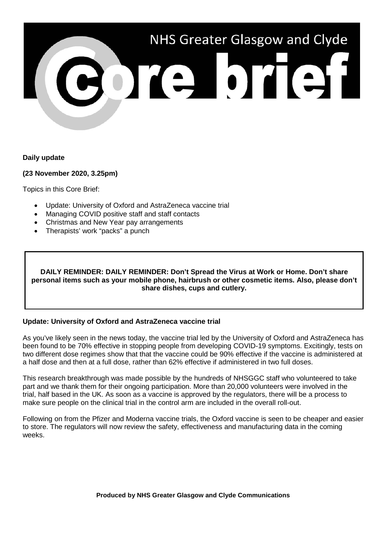

### **Daily update**

#### **(23 November 2020, 3.25pm)**

Topics in this Core Brief:

- Update: University of Oxford and AstraZeneca vaccine trial
- Managing COVID positive staff and staff contacts
- Christmas and New Year pay arrangements
- Therapists' work "packs" a punch

**DAILY REMINDER: DAILY REMINDER: Don't Spread the Virus at Work or Home. Don't share personal items such as your mobile phone, hairbrush or other cosmetic items. Also, please don't share dishes, cups and cutlery.**

### **Update: University of Oxford and AstraZeneca vaccine trial**

As you've likely seen in the news today, the vaccine trial led by the University of Oxford and AstraZeneca has been found to be 70% effective in stopping people from developing COVID-19 symptoms. Excitingly, tests on two different dose regimes show that that the vaccine could be 90% effective if the vaccine is administered at a half dose and then at a full dose, rather than 62% effective if administered in two full doses.

This research breakthrough was made possible by the hundreds of NHSGGC staff who volunteered to take part and we thank them for their ongoing participation. More than 20,000 volunteers were involved in the trial, half based in the UK. As soon as a vaccine is approved by the regulators, there will be a process to make sure people on the clinical trial in the control arm are included in the overall roll-out.

Following on from the Pfizer and Moderna vaccine trials, the Oxford vaccine is seen to be cheaper and easier to store. The regulators will now review the safety, effectiveness and manufacturing data in the coming weeks.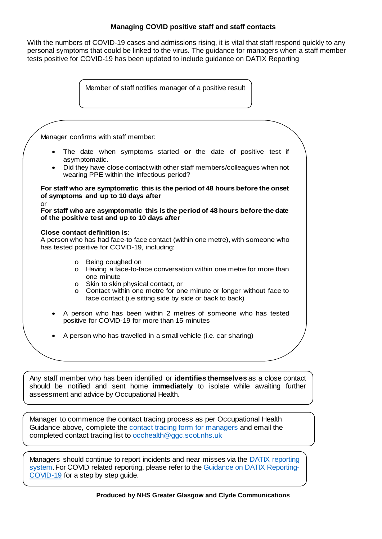### **Managing COVID positive staff and staff contacts**

With the numbers of COVID-19 cases and admissions rising, it is vital that staff respond quickly to any personal symptoms that could be linked to the virus. The guidance for managers when a staff member tests positive for COVID-19 has been updated to include guidance on DATIX Reporting

Member of staff notifies manager of a positive result

Manager confirms with staff member:

- The date when symptoms started **or** the date of positive test if asymptomatic.
- Did they have close contact with other staff members/colleagues when not wearing PPE within the infectious period?

**For staff who are symptomatic this is the period of 48 hours before the onset of symptoms and up to 10 days after**

**For staff who are asymptomatic this is the period of 48 hours before the date of the positive test and up to 10 days after**

**Close contact definition is**:

or

A person who has had face-to face contact (within one metre), with someone who has tested positive for COVID-19, including:

- o Being coughed on
- o Having a face-to-face conversation within one metre for more than one minute
- o Skin to skin physical contact, or
- o Contact within one metre for one minute or longer without face to face contact (i.e sitting side by side or back to back)
- A person who has been within 2 metres of someone who has tested positive for COVID-19 for more than 15 minutes
- A person who has travelled in a small vehicle (i.e. car sharing)

Any staff member who has been identified or **identifies themselves** as a close contact should be notified and sent home **immediately** to isolate while awaiting further assessment and advice by Occupational Health.

[Manager to commence the contact tracing process as per Occupational Health](https://www.nhsggc.org.uk/media/263467/covid-19-contact-tracing-form-for-managers.doc) Guidance above, complete the contact tracing form for managers and email the completed contact tracing list to occhealth@ggc.scot.nhs.uk

[Managers should continue to report incidents and near misses via the DATIX reporting](http://www.staffnet.ggc.scot.nhs.uk/Applications/Datix/Pages/default.aspx)  system. For COVID related reporting, please refer to the Guidance on DATIX Reporting-COVID-19 for a step by step guide.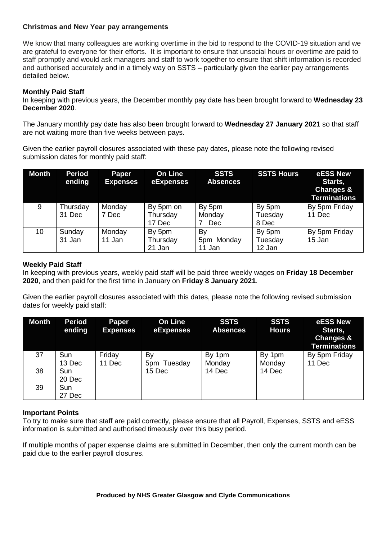## **Christmas and New Year pay arrangements**

We know that many colleagues are working overtime in the bid to respond to the COVID-19 situation and we are grateful to everyone for their efforts. It is important to ensure that unsocial hours or overtime are paid to staff promptly and would ask managers and staff to work together to ensure that shift information is recorded and authorised accurately and in a timely way on SSTS – particularly given the earlier pay arrangements detailed below.

# **Monthly Paid Staff**

In keeping with previous years, the December monthly pay date has been brought forward to **Wednesday 23 December 2020**.

The January monthly pay date has also been brought forward to **Wednesday 27 January 2021** so that staff are not waiting more than five weeks between pays.

Given the earlier payroll closures associated with these pay dates, please note the following revised submission dates for monthly paid staff:

| <b>Month</b> | <b>Period</b><br>ending | Paper<br><b>Expenses</b> | <b>On Line</b><br>eExpenses     | <b>SSTS</b><br><b>Absences</b> | <b>SSTS Hours</b>           | eESS New<br>Starts,<br><b>Changes &amp;</b><br><b>Terminations</b> |
|--------------|-------------------------|--------------------------|---------------------------------|--------------------------------|-----------------------------|--------------------------------------------------------------------|
| 9            | Thursday<br>31 Dec      | Monday<br>7 Dec          | By 5pm on<br>Thursday<br>17 Dec | By 5pm<br>Monday<br><b>Dec</b> | By 5pm<br>Tuesday<br>8 Dec  | By 5pm Friday<br>11 Dec                                            |
| 10           | Sunday<br>31 Jan        | Monday<br>11 Jan         | By 5pm<br>Thursday<br>21 Jan    | By<br>5pm Monday<br>11 Jan     | By 5pm<br>Tuesday<br>12 Jan | By 5pm Friday<br>15 Jan                                            |

# **Weekly Paid Staff**

In keeping with previous years, weekly paid staff will be paid three weekly wages on **Friday 18 December 2020**, and then paid for the first time in January on **Friday 8 January 2021**.

Given the earlier payroll closures associated with this dates, please note the following revised submission dates for weekly paid staff:

| <b>Month</b> | <b>Period</b><br>ending | Paper<br><b>Expenses</b> | <b>On Line</b><br>eExpenses | <b>SSTS</b><br><b>Absences</b> | <b>SSTS</b><br><b>Hours</b> | eESS New<br>Starts,<br>Changes &<br><b>Terminations</b> |
|--------------|-------------------------|--------------------------|-----------------------------|--------------------------------|-----------------------------|---------------------------------------------------------|
| 37           | Sun                     | Friday                   | By                          | By 1pm                         | By 1pm                      | By 5pm Friday                                           |
|              | 13 Dec                  | 11 Dec                   | 5pm Tuesday                 | Monday                         | Monday                      | 11 Dec                                                  |
| 38           | Sun                     |                          | 15 Dec                      | 14 Dec                         | 14 Dec                      |                                                         |
|              | 20 Dec                  |                          |                             |                                |                             |                                                         |
| 39           | Sun                     |                          |                             |                                |                             |                                                         |
|              | 27 Dec                  |                          |                             |                                |                             |                                                         |

# **Important Points**

To try to make sure that staff are paid correctly, please ensure that all Payroll, Expenses, SSTS and eESS information is submitted and authorised timeously over this busy period.

If multiple months of paper expense claims are submitted in December, then only the current month can be paid due to the earlier payroll closures.